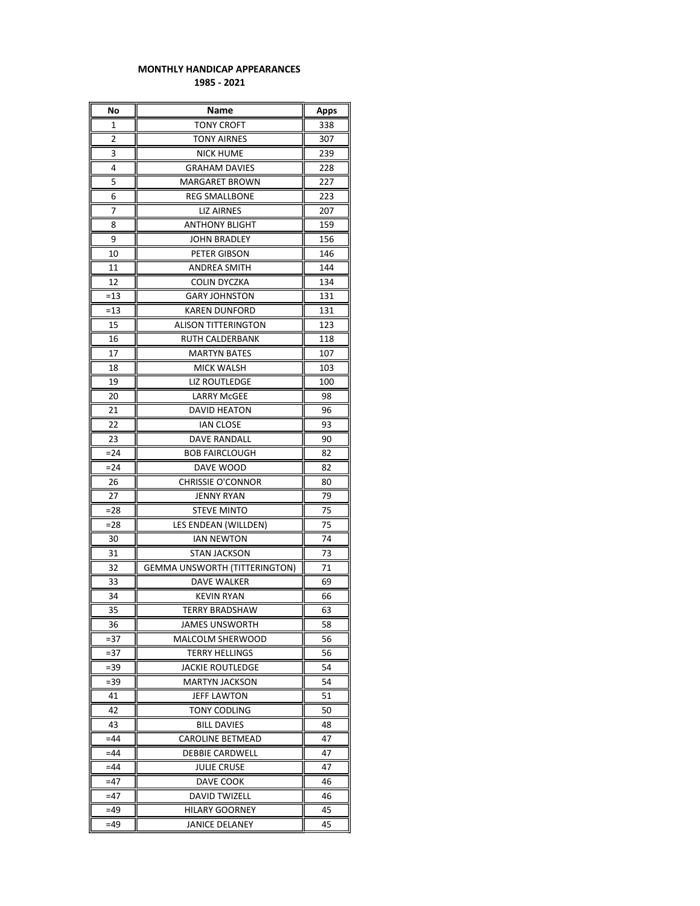## MONTHLY HANDICAP APPEARANCES 1985 - 2021

| No             | Name                                 | Apps |
|----------------|--------------------------------------|------|
| 1              | <b>TONY CROFT</b>                    | 338  |
| $\overline{2}$ | <b>TONY AIRNES</b>                   | 307  |
| 3              | <b>NICK HUME</b>                     | 239  |
| 4              | <b>GRAHAM DAVIES</b>                 | 228  |
| 5              | MARGARET BROWN                       | 227  |
| 6              | <b>REG SMALLBONE</b>                 | 223  |
| 7              | <b>LIZ AIRNES</b>                    | 207  |
| 8              | <b>ANTHONY BLIGHT</b>                | 159  |
| 9              | <b>JOHN BRADLEY</b>                  | 156  |
| 10             | PETER GIBSON                         | 146  |
| 11             | <b>ANDREA SMITH</b>                  | 144  |
| 12             | COLIN DYCZKA                         | 134  |
| $=13$          | <b>GARY JOHNSTON</b>                 | 131  |
| $=13$          | <b>KAREN DUNFORD</b>                 | 131  |
| 15             | ALISON TITTERINGTON                  | 123  |
| 16             | RUTH CALDERBANK                      | 118  |
| 17             | <b>MARTYN BATES</b>                  | 107  |
| 18             | MICK WALSH                           | 103  |
| 19             | <b>LIZ ROUTLEDGE</b>                 | 100  |
| 20             | <b>LARRY McGEE</b>                   | 98   |
| 21             | DAVID HEATON                         | 96   |
| 22             | <b>IAN CLOSE</b>                     | 93   |
| 23             | DAVE RANDALL                         | 90   |
| $= 24$         | <b>BOB FAIRCLOUGH</b>                | 82   |
| =24            | DAVE WOOD                            | 82   |
| 26             | <b>CHRISSIE O'CONNOR</b>             | 80   |
| 27             | <b>JENNY RYAN</b>                    | 79   |
| =28            | <b>STEVE MINTO</b>                   | 75   |
| $= 28$         | LES ENDEAN (WILLDEN)                 | 75   |
| 30             | IAN NEWTON                           | 74   |
| 31             | <b>STAN JACKSON</b>                  | 73   |
| 32             | <b>GEMMA UNSWORTH (TITTERINGTON)</b> | 71   |
| 33             | DAVE WALKER                          | 69   |
| 34             | <b>KEVIN RYAN</b>                    | 66   |
| 35             | <b>TERRY BRADSHAW</b>                | 63   |
| 36             | JAMES UNSWORTH                       | 58   |
| $= 37$         | MALCOLM SHERWOOD                     | 56   |
| =37            | <b>TERRY HELLINGS</b>                | 56   |
| $= 39$         | JACKIE ROUTLEDGE                     | 54   |
| $= 39$         | <b>MARTYN JACKSON</b>                | 54   |
| 41             | JEFF LAWTON                          | 51   |
| 42             | TONY CODLING                         | 50   |
| 43             | <b>BILL DAVIES</b>                   | 48   |
| $=44$          | CAROLINE BETMEAD                     | 47   |
| $=44$          | DEBBIE CARDWELL                      | 47   |
| $=44$          | <b>JULIE CRUSE</b>                   | 47   |
| =47            | DAVE COOK                            | 46   |
| $=47$          | <b>DAVID TWIZELL</b>                 | 46   |
| $=49$          | HILARY GOORNEY                       | 45   |
| =49            | JANICE DELANEY                       | 45   |